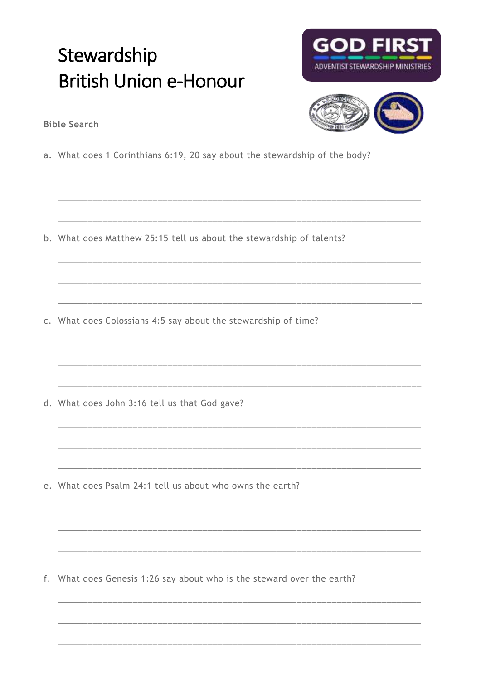## Stewardship **British Union e-Honour**





<u> 1999 - Johann John Barnson, mark</u>

**Bible Search** 

a. What does 1 Corinthians 6:19, 20 say about the stewardship of the body?

b. What does Matthew 25:15 tell us about the stewardship of talents?

c. What does Colossians 4:5 say about the stewardship of time?

d. What does John 3:16 tell us that God gave?

e. What does Psalm 24:1 tell us about who owns the earth?

f. What does Genesis 1:26 say about who is the steward over the earth?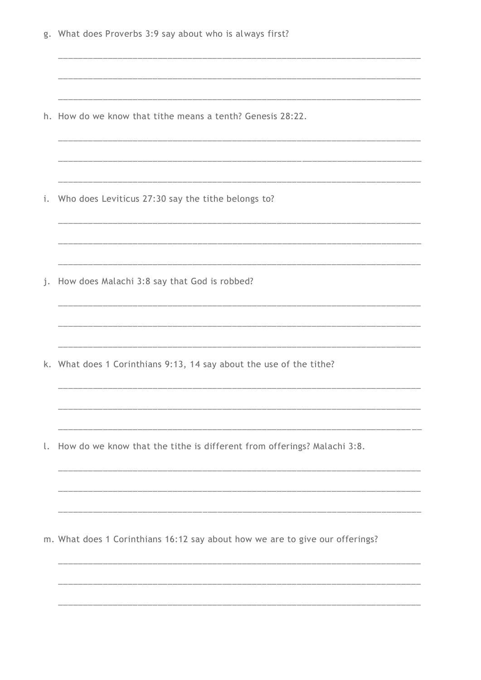|    | g. What does Proverbs 3:9 say about who is always first?                     |
|----|------------------------------------------------------------------------------|
|    | h. How do we know that tithe means a tenth? Genesis 28:22.                   |
| i. | Who does Leviticus 27:30 say the tithe belongs to?                           |
| j. | How does Malachi 3:8 say that God is robbed?                                 |
|    | k. What does 1 Corinthians 9:13, 14 say about the use of the tithe?          |
| l. | How do we know that the tithe is different from offerings? Malachi 3:8.      |
|    | m. What does 1 Corinthians 16:12 say about how we are to give our offerings? |
|    |                                                                              |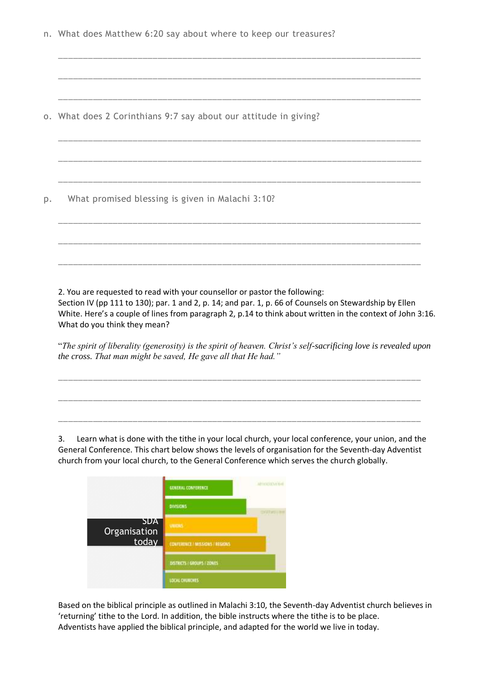n. What does Matthew 6:20 say about where to keep our treasures?

\_\_\_\_\_\_\_\_\_\_\_\_\_\_\_\_\_\_\_\_\_\_\_\_\_\_\_\_\_\_\_\_\_\_\_\_\_\_\_\_\_\_\_\_\_\_\_\_\_\_\_\_\_\_\_\_\_\_\_\_\_\_\_\_\_\_\_\_\_\_\_\_\_

\_\_\_\_\_\_\_\_\_\_\_\_\_\_\_\_\_\_\_\_\_\_\_\_\_\_\_\_\_\_\_\_\_\_\_\_\_\_\_\_\_\_\_\_\_\_\_\_\_\_\_\_\_\_\_\_\_\_\_\_\_\_\_\_\_\_\_\_\_\_\_\_\_

\_\_\_\_\_\_\_\_\_\_\_\_\_\_\_\_\_\_\_\_\_\_\_\_\_\_\_\_\_\_\_\_\_\_\_\_\_\_\_\_\_\_\_\_\_\_\_\_\_\_\_\_\_\_\_\_\_\_\_\_\_\_\_\_\_\_\_\_\_\_\_\_\_

\_\_\_\_\_\_\_\_\_\_\_\_\_\_\_\_\_\_\_\_\_\_\_\_\_\_\_\_\_\_\_\_\_\_\_\_\_\_\_\_\_\_\_\_\_\_\_\_\_\_\_\_\_\_\_\_\_\_\_\_\_\_\_\_\_\_\_\_\_\_\_\_\_

\_\_\_\_\_\_\_\_\_\_\_\_\_\_\_\_\_\_\_\_\_\_\_\_\_\_\_\_\_\_\_\_\_\_\_\_\_\_\_\_\_\_\_\_\_\_\_\_\_\_\_\_\_\_\_\_\_\_\_\_\_\_\_\_\_\_\_\_\_\_\_\_\_

\_\_\_\_\_\_\_\_\_\_\_\_\_\_\_\_\_\_\_\_\_\_\_\_\_\_\_\_\_\_\_\_\_\_\_\_\_\_\_\_\_\_\_\_\_\_\_\_\_\_\_\_\_\_\_\_\_\_\_\_\_\_\_\_\_\_\_\_\_\_\_\_\_

\_\_\_\_\_\_\_\_\_\_\_\_\_\_\_\_\_\_\_\_\_\_\_\_\_\_\_\_\_\_\_\_\_\_\_\_\_\_\_\_\_\_\_\_\_\_\_\_\_\_\_\_\_\_\_\_\_\_\_\_\_\_\_\_\_\_\_\_\_\_\_\_\_

\_\_\_\_\_\_\_\_\_\_\_\_\_\_\_\_\_\_\_\_\_\_\_\_\_\_\_\_\_\_\_\_\_\_\_\_\_\_\_\_\_\_\_\_\_\_\_\_\_\_\_\_\_\_\_\_\_\_\_\_\_\_\_\_\_\_\_\_\_\_\_\_\_

\_\_\_\_\_\_\_\_\_\_\_\_\_\_\_\_\_\_\_\_\_\_\_\_\_\_\_\_\_\_\_\_\_\_\_\_\_\_\_\_\_\_\_\_\_\_\_\_\_\_\_\_\_\_\_\_\_\_\_\_\_\_\_\_\_\_\_\_\_\_\_\_\_

o. What does 2 Corinthians 9:7 say about our attitude in giving?

p. What promised blessing is given in Malachi 3:10?

2. You are requested to read with your counsellor or pastor the following:

Section IV (pp 111 to 130); par. 1 and 2, p. 14; and par. 1, p. 66 of Counsels on Stewardship by Ellen White. Here's a couple of lines from paragraph 2, p.14 to think about written in the context of John 3:16. What do you think they mean?

"*The spirit of liberality (generosity) is the spirit of heaven. Christ's self-sacrificing love is revealed upon the cross. That man might be saved, He gave all that He had."*

\_\_\_\_\_\_\_\_\_\_\_\_\_\_\_\_\_\_\_\_\_\_\_\_\_\_\_\_\_\_\_\_\_\_\_\_\_\_\_\_\_\_\_\_\_\_\_\_\_\_\_\_\_\_\_\_\_\_\_\_\_\_\_\_\_\_\_\_\_\_\_\_\_

\_\_\_\_\_\_\_\_\_\_\_\_\_\_\_\_\_\_\_\_\_\_\_\_\_\_\_\_\_\_\_\_\_\_\_\_\_\_\_\_\_\_\_\_\_\_\_\_\_\_\_\_\_\_\_\_\_\_\_\_\_\_\_\_\_\_\_\_\_\_\_\_\_

\_\_\_\_\_\_\_\_\_\_\_\_\_\_\_\_\_\_\_\_\_\_\_\_\_\_\_\_\_\_\_\_\_\_\_\_\_\_\_\_\_\_\_\_\_\_\_\_\_\_\_\_\_\_\_\_\_\_\_\_\_\_\_\_\_\_\_\_\_\_\_\_\_

3. Learn what is done with the tithe in your local church, your local conference, your union, and the General Conference. This chart below shows the levels of organisation for the Seventh-day Adventist church from your local church, to the General Conference which serves the church globally.



Based on the biblical principle as outlined in Malachi 3:10, the Seventh-day Adventist church believes in 'returning' tithe to the Lord. In addition, the bible instructs where the tithe is to be place. Adventists have applied the biblical principle, and adapted for the world we live in today.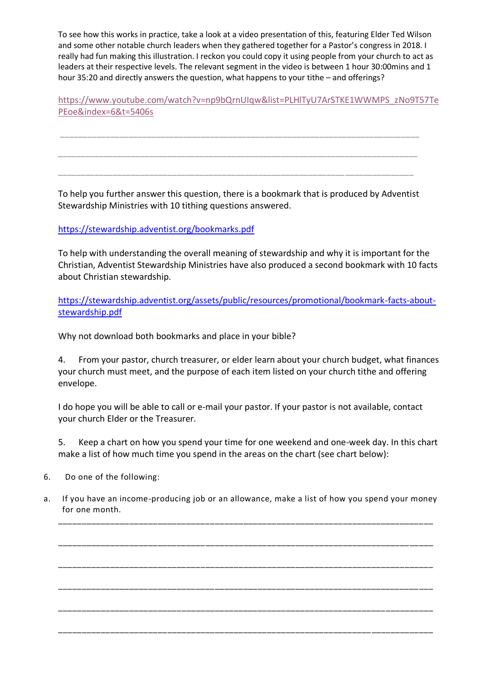To see how this works in practice, take a look at a video presentation of this, featuring Elder Ted Wilson and some other notable church leaders when they gathered together for a Pastor's congress in 2018. I really had fun making this illustration. I reckon you could copy it using people from your church to act as leaders at their respective levels. The relevant segment in the video is between 1 hour 30:00mins and 1 hour 35:20 and directly answers the question, what happens to your tithe – and offerings?

[https://www.youtube.com/watch?v=np9bQrnUIqw&list=PLHlTyU7ArSTKE1WWMPS\\_zNo9T57Te](https://www.youtube.com/watch?v=np9bQrnUIqw&list=PLHlTyU7ArSTKE1WWMPS_zNo9T57TePEoe&index=6&t=5406s) [PEoe&index=6&t=5406s](https://www.youtube.com/watch?v=np9bQrnUIqw&list=PLHlTyU7ArSTKE1WWMPS_zNo9T57TePEoe&index=6&t=5406s)

To help you further answer this question, there is a bookmark that is produced by Adventist Stewardship Ministries with 10 tithing questions answered.

\_\_\_\_\_\_\_\_\_\_\_\_\_\_\_\_\_\_\_\_\_\_\_\_\_\_\_\_\_\_\_\_\_\_\_\_\_\_\_\_\_\_\_\_\_\_\_\_\_\_\_\_\_\_\_\_\_\_\_\_\_\_\_\_\_\_\_\_\_\_\_\_\_\_\_\_\_\_\_

\_\_\_\_\_\_\_\_\_\_\_\_\_\_\_\_\_\_\_\_\_\_\_\_\_\_\_\_\_\_\_\_\_\_\_\_\_\_\_\_\_\_\_\_\_\_\_\_\_\_\_\_\_\_\_\_\_\_\_\_\_\_\_\_\_\_\_\_\_\_\_\_\_\_\_\_\_\_\_

\_\_\_\_\_\_\_\_\_\_\_\_\_\_\_\_\_\_\_\_\_\_\_\_\_\_\_\_\_\_\_\_\_\_\_\_\_\_\_\_\_\_\_\_\_\_\_\_\_\_\_\_\_\_\_\_\_\_\_\_\_\_\_\_\_\_\_\_\_\_\_\_\_\_\_\_\_\_

## <https://stewardship.adventist.org/bookmarks.pdf>

To help with understanding the overall meaning of stewardship and why it is important for the Christian, Adventist Stewardship Ministries have also produced a second bookmark with 10 facts about Christian stewardship.

[https://stewardship.adventist.org/assets/public/resources/promotional/bookmark-facts-about](https://stewardship.adventist.org/assets/public/resources/promotional/bookmark-facts-about-stewardship.pdf)[stewardship.pdf](https://stewardship.adventist.org/assets/public/resources/promotional/bookmark-facts-about-stewardship.pdf)

Why not download both bookmarks and place in your bible?

4. From your pastor, church treasurer, or elder learn about your church budget, what finances your church must meet, and the purpose of each item listed on your church tithe and offering envelope.

I do hope you will be able to call or e-mail your pastor. If your pastor is not available, contact your church Elder or the Treasurer.

5. Keep a chart on how you spend your time for one weekend and one-week day. In this chart make a list of how much time you spend in the areas on the chart (see chart below):

- 6. Do one of the following:
- a. If you have an income-producing job or an allowance, make a list of how you spend your money for one month.

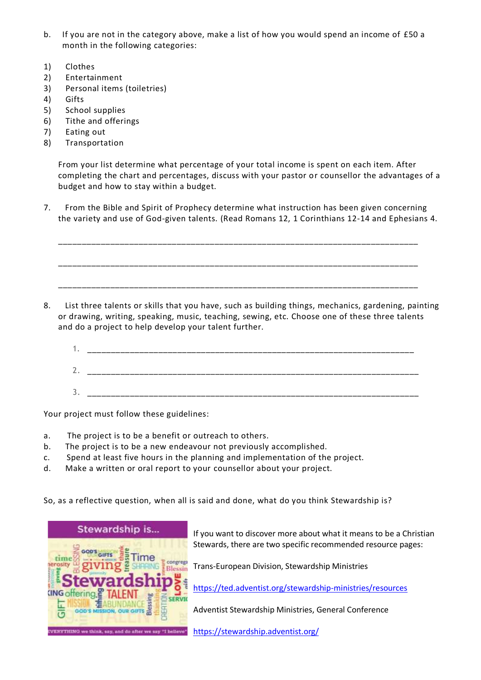- b. If you are not in the category above, make a list of how you would spend an income of £50 a month in the following categories:
- 1) Clothes
- 2) Entertainment
- 3) Personal items (toiletries)
- 4) Gifts
- 5) School supplies
- 6) Tithe and offerings
- 7) Eating out
- 8) Transportation

From your list determine what percentage of your total income is spent on each item. After completing the chart and percentages, discuss with your pastor or counsellor the advantages of a budget and how to stay within a budget.

7. From the Bible and Spirit of Prophecy determine what instruction has been given concerning the variety and use of God-given talents. (Read Romans 12, 1 Corinthians 12-14 and Ephesians 4.

\_\_\_\_\_\_\_\_\_\_\_\_\_\_\_\_\_\_\_\_\_\_\_\_\_\_\_\_\_\_\_\_\_\_\_\_\_\_\_\_\_\_\_\_\_\_\_\_\_\_\_\_\_\_\_\_\_\_\_\_\_\_\_\_\_\_\_\_\_\_\_\_\_\_\_\_ \_\_\_\_\_\_\_\_\_\_\_\_\_\_\_\_\_\_\_\_\_\_\_\_\_\_\_\_\_\_\_\_\_\_\_\_\_\_\_\_\_\_\_\_\_\_\_\_\_\_\_\_\_\_\_\_\_\_\_\_\_\_\_\_\_\_\_\_\_\_\_\_\_\_\_\_

\_\_\_\_\_\_\_\_\_\_\_\_\_\_\_\_\_\_\_\_\_\_\_\_\_\_\_\_\_\_\_\_\_\_\_\_\_\_\_\_\_\_\_\_\_\_\_\_\_\_\_\_\_\_\_\_\_\_\_\_\_\_\_\_\_\_\_\_\_\_\_\_\_\_\_\_

- 8. List three talents or skills that you have, such as building things, mechanics, gardening, painting or drawing, writing, speaking, music, teaching, sewing, etc. Choose one of these three talents and do a project to help develop your talent further.
	- 1. \_\_\_\_\_\_\_\_\_\_\_\_\_\_\_\_\_\_\_\_\_\_\_\_\_\_\_\_\_\_\_\_\_\_\_\_\_\_\_\_\_\_\_\_\_\_\_\_\_\_\_\_\_\_\_\_\_\_\_\_\_\_\_\_\_\_\_\_\_ 2. \_\_\_\_\_\_\_\_\_\_\_\_\_\_\_\_\_\_\_\_\_\_\_\_\_\_\_\_\_\_\_\_\_\_\_\_\_\_\_\_\_\_\_\_\_\_\_\_\_\_\_\_\_\_\_\_\_\_\_\_\_\_\_\_\_\_\_\_\_\_ 3. \_\_\_\_\_\_\_\_\_\_\_\_\_\_\_\_\_\_\_\_\_\_\_\_\_\_\_\_\_\_\_\_\_\_\_\_\_\_\_\_\_\_\_\_\_\_\_\_\_\_\_\_\_\_\_\_\_\_\_\_\_\_\_\_\_\_\_\_\_\_

Your project must follow these guidelines:

- a. The project is to be a benefit or outreach to others.
- b. The project is to be a new endeavour not previously accomplished.
- c. Spend at least five hours in the planning and implementation of the project.
- d. Make a written or oral report to your counsellor about your project.

So, as a reflective question, when all is said and done, what do you think Stewardship is?